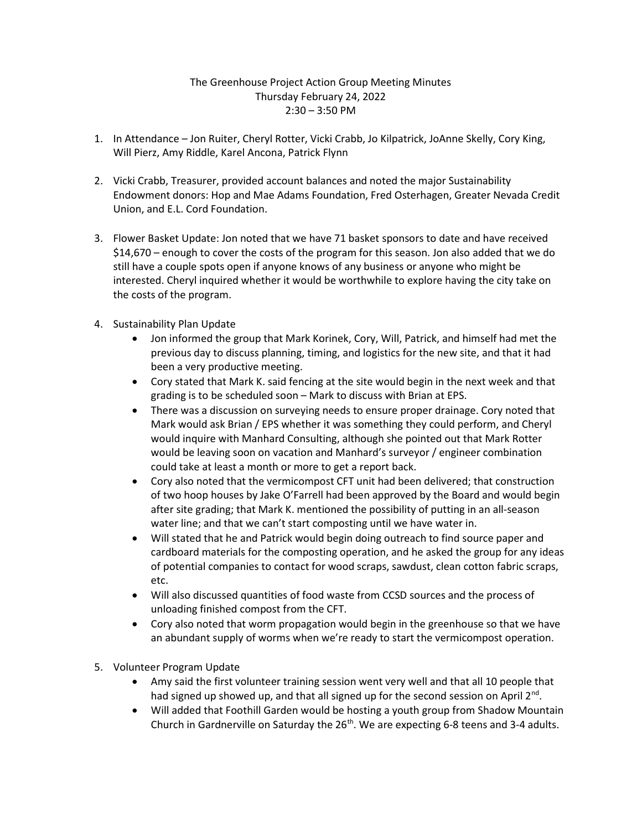## The Greenhouse Project Action Group Meeting Minutes Thursday February 24, 2022 2:30 – 3:50 PM

- 1. In Attendance Jon Ruiter, Cheryl Rotter, Vicki Crabb, Jo Kilpatrick, JoAnne Skelly, Cory King, Will Pierz, Amy Riddle, Karel Ancona, Patrick Flynn
- 2. Vicki Crabb, Treasurer, provided account balances and noted the major Sustainability Endowment donors: Hop and Mae Adams Foundation, Fred Osterhagen, Greater Nevada Credit Union, and E.L. Cord Foundation.
- 3. Flower Basket Update: Jon noted that we have 71 basket sponsors to date and have received \$14,670 – enough to cover the costs of the program for this season. Jon also added that we do still have a couple spots open if anyone knows of any business or anyone who might be interested. Cheryl inquired whether it would be worthwhile to explore having the city take on the costs of the program.
- 4. Sustainability Plan Update
	- Jon informed the group that Mark Korinek, Cory, Will, Patrick, and himself had met the previous day to discuss planning, timing, and logistics for the new site, and that it had been a very productive meeting.
	- Cory stated that Mark K. said fencing at the site would begin in the next week and that grading is to be scheduled soon – Mark to discuss with Brian at EPS.
	- There was a discussion on surveying needs to ensure proper drainage. Cory noted that Mark would ask Brian / EPS whether it was something they could perform, and Cheryl would inquire with Manhard Consulting, although she pointed out that Mark Rotter would be leaving soon on vacation and Manhard's surveyor / engineer combination could take at least a month or more to get a report back.
	- Cory also noted that the vermicompost CFT unit had been delivered; that construction of two hoop houses by Jake O'Farrell had been approved by the Board and would begin after site grading; that Mark K. mentioned the possibility of putting in an all-season water line; and that we can't start composting until we have water in.
	- Will stated that he and Patrick would begin doing outreach to find source paper and cardboard materials for the composting operation, and he asked the group for any ideas of potential companies to contact for wood scraps, sawdust, clean cotton fabric scraps, etc.
	- Will also discussed quantities of food waste from CCSD sources and the process of unloading finished compost from the CFT.
	- Cory also noted that worm propagation would begin in the greenhouse so that we have an abundant supply of worms when we're ready to start the vermicompost operation.
- 5. Volunteer Program Update
	- Amy said the first volunteer training session went very well and that all 10 people that had signed up showed up, and that all signed up for the second session on April 2<sup>nd</sup>.
	- Will added that Foothill Garden would be hosting a youth group from Shadow Mountain Church in Gardnerville on Saturday the 26<sup>th</sup>. We are expecting 6-8 teens and 3-4 adults.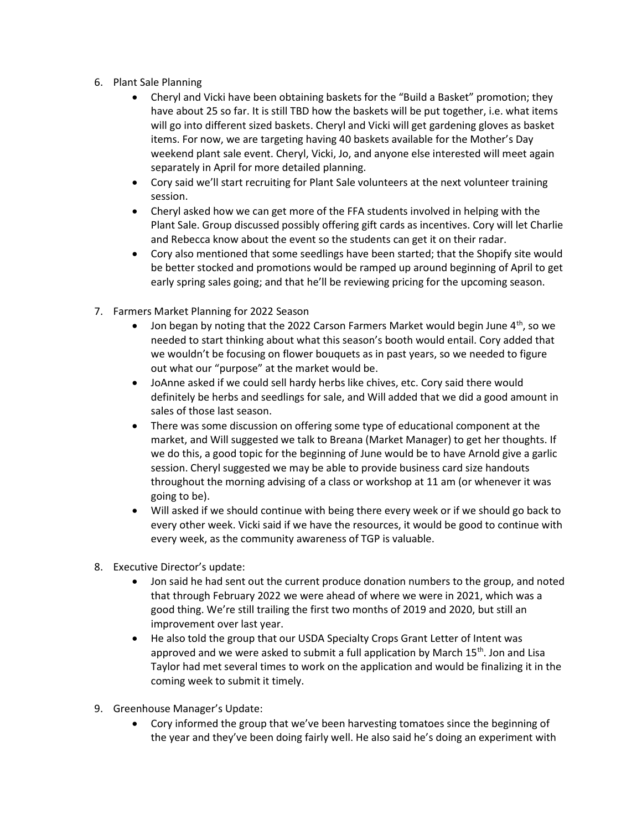- 6. Plant Sale Planning
	- Cheryl and Vicki have been obtaining baskets for the "Build a Basket" promotion; they have about 25 so far. It is still TBD how the baskets will be put together, i.e. what items will go into different sized baskets. Cheryl and Vicki will get gardening gloves as basket items. For now, we are targeting having 40 baskets available for the Mother's Day weekend plant sale event. Cheryl, Vicki, Jo, and anyone else interested will meet again separately in April for more detailed planning.
	- Cory said we'll start recruiting for Plant Sale volunteers at the next volunteer training session.
	- Cheryl asked how we can get more of the FFA students involved in helping with the Plant Sale. Group discussed possibly offering gift cards as incentives. Cory will let Charlie and Rebecca know about the event so the students can get it on their radar.
	- Cory also mentioned that some seedlings have been started; that the Shopify site would be better stocked and promotions would be ramped up around beginning of April to get early spring sales going; and that he'll be reviewing pricing for the upcoming season.
- 7. Farmers Market Planning for 2022 Season
	- Jon began by noting that the 2022 Carson Farmers Market would begin June  $4<sup>th</sup>$ , so we needed to start thinking about what this season's booth would entail. Cory added that we wouldn't be focusing on flower bouquets as in past years, so we needed to figure out what our "purpose" at the market would be.
	- JoAnne asked if we could sell hardy herbs like chives, etc. Cory said there would definitely be herbs and seedlings for sale, and Will added that we did a good amount in sales of those last season.
	- There was some discussion on offering some type of educational component at the market, and Will suggested we talk to Breana (Market Manager) to get her thoughts. If we do this, a good topic for the beginning of June would be to have Arnold give a garlic session. Cheryl suggested we may be able to provide business card size handouts throughout the morning advising of a class or workshop at 11 am (or whenever it was going to be).
	- Will asked if we should continue with being there every week or if we should go back to every other week. Vicki said if we have the resources, it would be good to continue with every week, as the community awareness of TGP is valuable.
- 8. Executive Director's update:
	- Jon said he had sent out the current produce donation numbers to the group, and noted that through February 2022 we were ahead of where we were in 2021, which was a good thing. We're still trailing the first two months of 2019 and 2020, but still an improvement over last year.
	- He also told the group that our USDA Specialty Crops Grant Letter of Intent was approved and we were asked to submit a full application by March  $15<sup>th</sup>$ . Jon and Lisa Taylor had met several times to work on the application and would be finalizing it in the coming week to submit it timely.
- 9. Greenhouse Manager's Update:
	- Cory informed the group that we've been harvesting tomatoes since the beginning of the year and they've been doing fairly well. He also said he's doing an experiment with